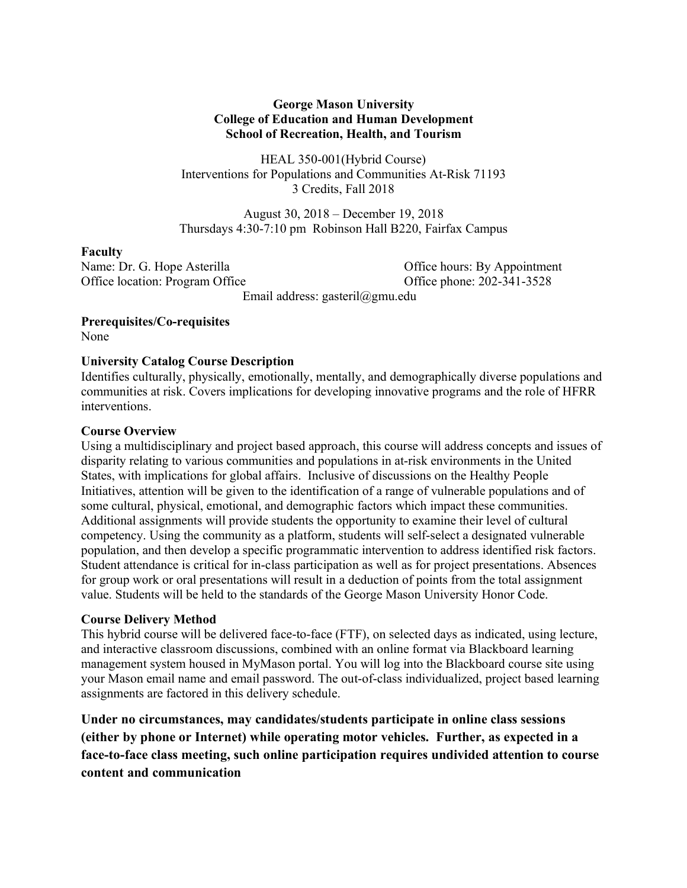### **George Mason University College of Education and Human Development School of Recreation, Health, and Tourism**

HEAL 350-001(Hybrid Course) Interventions for Populations and Communities At-Risk 71193 3 Credits, Fall 2018

August 30, 2018 – December 19, 2018 Thursdays 4:30-7:10 pm Robinson Hall B220, Fairfax Campus

#### **Faculty**

Office location: Program Office **Contact Contact Contact Contact Contact Contact Contact Contact Contact Contact Contact Contact Contact Contact Contact Contact Contact Contact Contact Contact Contact Contact Contact Conta** 

Name: Dr. G. Hope Asterilla **Communists** Office hours: By Appointment

Email address: gasteril@gmu.edu

**Prerequisites/Co-requisites**  None

### **University Catalog Course Description**

Identifies culturally, physically, emotionally, mentally, and demographically diverse populations and communities at risk. Covers implications for developing innovative programs and the role of HFRR interventions.

### **Course Overview**

Using a multidisciplinary and project based approach, this course will address concepts and issues of disparity relating to various communities and populations in at-risk environments in the United States, with implications for global affairs. Inclusive of discussions on the Healthy People Initiatives, attention will be given to the identification of a range of vulnerable populations and of some cultural, physical, emotional, and demographic factors which impact these communities. Additional assignments will provide students the opportunity to examine their level of cultural competency. Using the community as a platform, students will self-select a designated vulnerable population, and then develop a specific programmatic intervention to address identified risk factors. Student attendance is critical for in-class participation as well as for project presentations. Absences for group work or oral presentations will result in a deduction of points from the total assignment value. Students will be held to the standards of the George Mason University Honor Code.

## **Course Delivery Method**

This hybrid course will be delivered face-to-face (FTF), on selected days as indicated, using lecture, and interactive classroom discussions, combined with an online format via Blackboard learning management system housed in MyMason portal. You will log into the Blackboard course site using your Mason email name and email password. The out-of-class individualized, project based learning assignments are factored in this delivery schedule.

**Under no circumstances, may candidates/students participate in online class sessions (either by phone or Internet) while operating motor vehicles. Further, as expected in a face-to-face class meeting, such online participation requires undivided attention to course content and communication**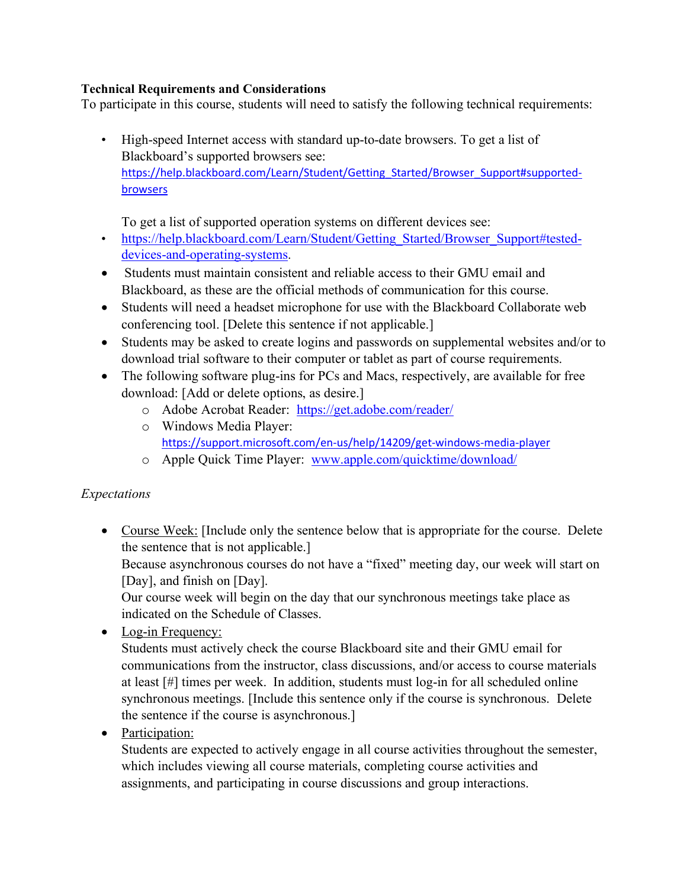# **Technical Requirements and Considerations**

To participate in this course, students will need to satisfy the following technical requirements:

• High-speed Internet access with standard up-to-date browsers. To get a list of Blackboard's supported browsers see: https://help.blackboard.com/Learn/Student/Getting\_Started/Browser\_Support#supportedbrowsers

To get a list of supported operation systems on different devices see:

- https://help.blackboard.com/Learn/Student/Getting\_Started/Browser\_Support#testeddevices-and-operating-systems.
- Students must maintain consistent and reliable access to their GMU email and Blackboard, as these are the official methods of communication for this course.
- Students will need a headset microphone for use with the Blackboard Collaborate web conferencing tool. [Delete this sentence if not applicable.]
- Students may be asked to create logins and passwords on supplemental websites and/or to download trial software to their computer or tablet as part of course requirements.
- The following software plug-ins for PCs and Macs, respectively, are available for free download: [Add or delete options, as desire.]
	- o Adobe Acrobat Reader: https://get.adobe.com/reader/
	- o Windows Media Player: https://support.microsoft.com/en-us/help/14209/get-windows-media-player
	- o Apple Quick Time Player: www.apple.com/quicktime/download/

# *Expectations*

• Course Week: [Include only the sentence below that is appropriate for the course. Delete the sentence that is not applicable.]

Because asynchronous courses do not have a "fixed" meeting day, our week will start on [Day], and finish on [Day].

Our course week will begin on the day that our synchronous meetings take place as indicated on the Schedule of Classes.

• Log-in Frequency:

Students must actively check the course Blackboard site and their GMU email for communications from the instructor, class discussions, and/or access to course materials at least [#] times per week. In addition, students must log-in for all scheduled online synchronous meetings. [Include this sentence only if the course is synchronous. Delete the sentence if the course is asynchronous.]

• Participation:

Students are expected to actively engage in all course activities throughout the semester, which includes viewing all course materials, completing course activities and assignments, and participating in course discussions and group interactions.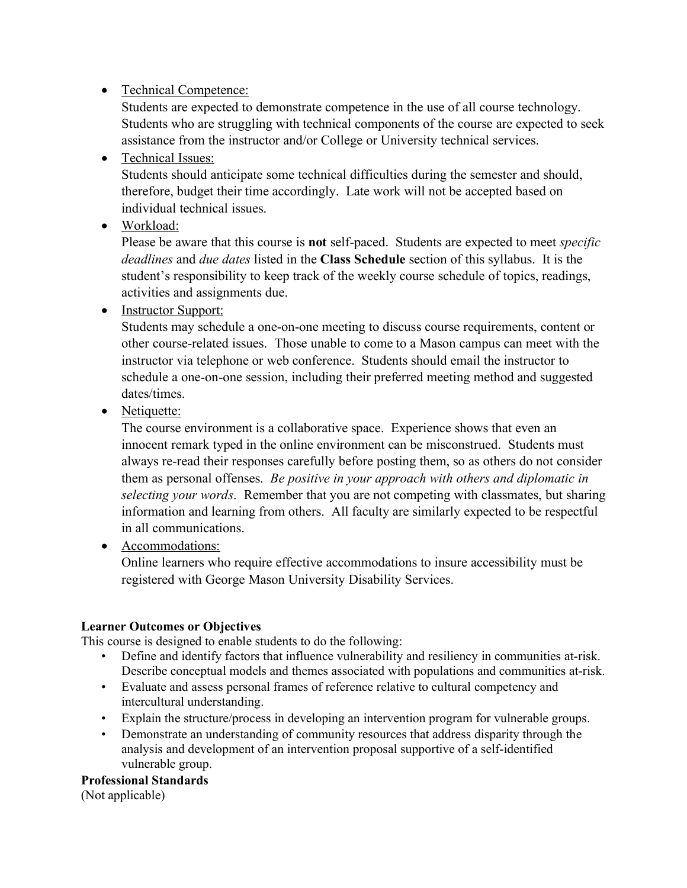# • Technical Competence:

Students are expected to demonstrate competence in the use of all course technology. Students who are struggling with technical components of the course are expected to seek assistance from the instructor and/or College or University technical services.

# • Technical Issues:

Students should anticipate some technical difficulties during the semester and should, therefore, budget their time accordingly. Late work will not be accepted based on individual technical issues.

• Workload:

Please be aware that this course is **not** self-paced. Students are expected to meet *specific deadlines* and *due dates* listed in the **Class Schedule** section of this syllabus. It is the student's responsibility to keep track of the weekly course schedule of topics, readings, activities and assignments due.

• Instructor Support:

Students may schedule a one-on-one meeting to discuss course requirements, content or other course-related issues. Those unable to come to a Mason campus can meet with the instructor via telephone or web conference. Students should email the instructor to schedule a one-on-one session, including their preferred meeting method and suggested dates/times.

• Netiquette:

The course environment is a collaborative space. Experience shows that even an innocent remark typed in the online environment can be misconstrued. Students must always re-read their responses carefully before posting them, so as others do not consider them as personal offenses. *Be positive in your approach with others and diplomatic in selecting your words*. Remember that you are not competing with classmates, but sharing information and learning from others. All faculty are similarly expected to be respectful in all communications.

• Accommodations:

Online learners who require effective accommodations to insure accessibility must be registered with George Mason University Disability Services.

# **Learner Outcomes or Objectives**

This course is designed to enable students to do the following:

- Define and identify factors that influence vulnerability and resiliency in communities at-risk. Describe conceptual models and themes associated with populations and communities at-risk.
- Evaluate and assess personal frames of reference relative to cultural competency and intercultural understanding.
- Explain the structure/process in developing an intervention program for vulnerable groups.
- Demonstrate an understanding of community resources that address disparity through the analysis and development of an intervention proposal supportive of a self-identified vulnerable group.

## **Professional Standards**

(Not applicable)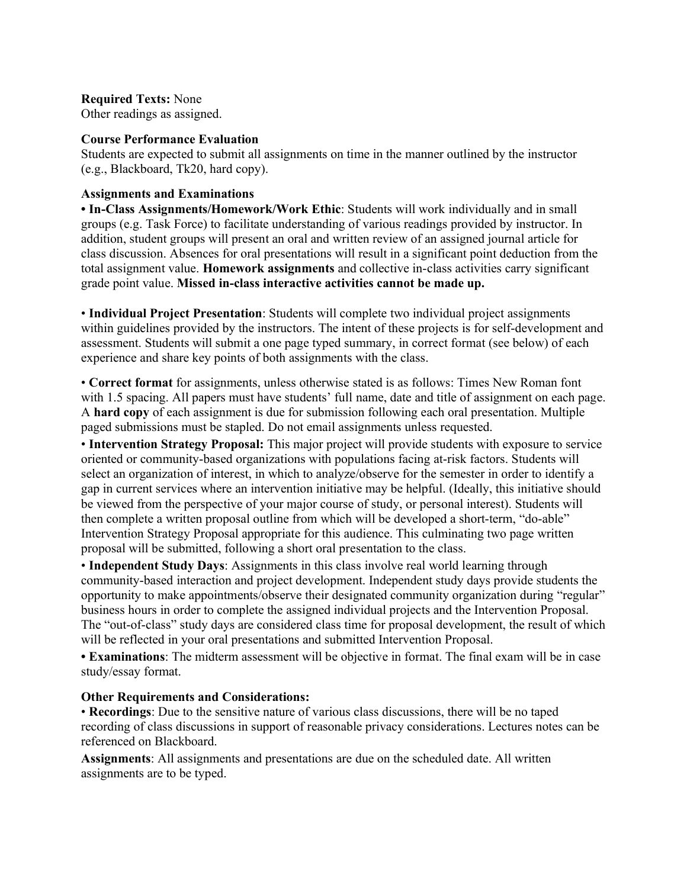#### **Required Texts:** None

Other readings as assigned.

#### **Course Performance Evaluation**

Students are expected to submit all assignments on time in the manner outlined by the instructor (e.g., Blackboard, Tk20, hard copy).

#### **Assignments and Examinations**

**• In-Class Assignments/Homework/Work Ethic**: Students will work individually and in small groups (e.g. Task Force) to facilitate understanding of various readings provided by instructor. In addition, student groups will present an oral and written review of an assigned journal article for class discussion. Absences for oral presentations will result in a significant point deduction from the total assignment value. **Homework assignments** and collective in-class activities carry significant grade point value. **Missed in-class interactive activities cannot be made up.**

• **Individual Project Presentation**: Students will complete two individual project assignments within guidelines provided by the instructors. The intent of these projects is for self-development and assessment. Students will submit a one page typed summary, in correct format (see below) of each experience and share key points of both assignments with the class.

• **Correct format** for assignments, unless otherwise stated is as follows: Times New Roman font with 1.5 spacing. All papers must have students' full name, date and title of assignment on each page. A **hard copy** of each assignment is due for submission following each oral presentation. Multiple paged submissions must be stapled. Do not email assignments unless requested.

• **Intervention Strategy Proposal:** This major project will provide students with exposure to service oriented or community-based organizations with populations facing at-risk factors. Students will select an organization of interest, in which to analyze/observe for the semester in order to identify a gap in current services where an intervention initiative may be helpful. (Ideally, this initiative should be viewed from the perspective of your major course of study, or personal interest). Students will then complete a written proposal outline from which will be developed a short-term, "do-able" Intervention Strategy Proposal appropriate for this audience. This culminating two page written proposal will be submitted, following a short oral presentation to the class.

• **Independent Study Days**: Assignments in this class involve real world learning through community-based interaction and project development. Independent study days provide students the opportunity to make appointments/observe their designated community organization during "regular" business hours in order to complete the assigned individual projects and the Intervention Proposal. The "out-of-class" study days are considered class time for proposal development, the result of which will be reflected in your oral presentations and submitted Intervention Proposal.

**• Examinations**: The midterm assessment will be objective in format. The final exam will be in case study/essay format.

#### **Other Requirements and Considerations:**

• **Recordings**: Due to the sensitive nature of various class discussions, there will be no taped recording of class discussions in support of reasonable privacy considerations. Lectures notes can be referenced on Blackboard.

**Assignments**: All assignments and presentations are due on the scheduled date. All written assignments are to be typed.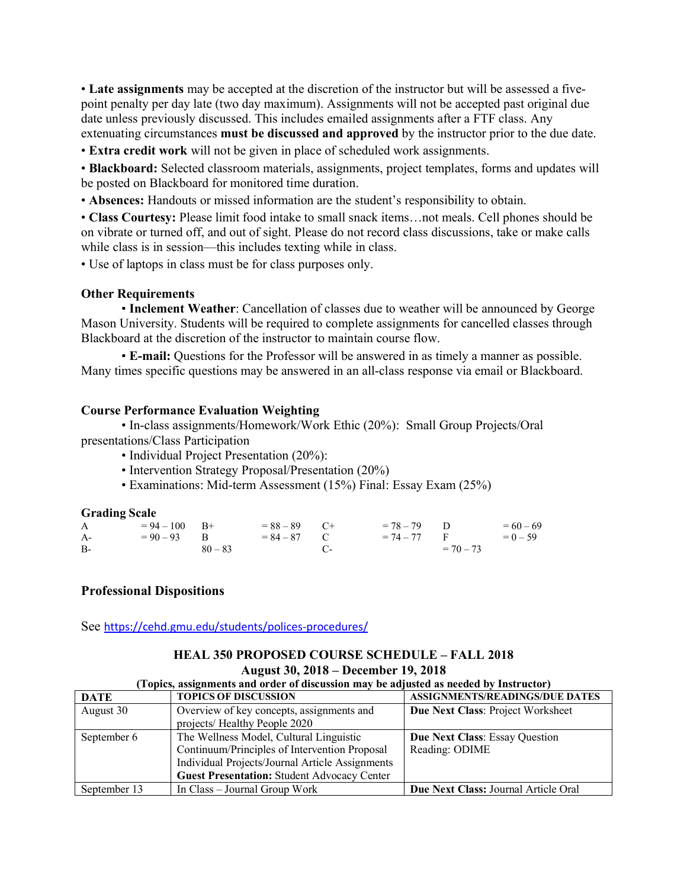• **Late assignments** may be accepted at the discretion of the instructor but will be assessed a fivepoint penalty per day late (two day maximum). Assignments will not be accepted past original due date unless previously discussed. This includes emailed assignments after a FTF class. Any extenuating circumstances **must be discussed and approved** by the instructor prior to the due date.

• **Extra credit work** will not be given in place of scheduled work assignments.

• **Blackboard:** Selected classroom materials, assignments, project templates, forms and updates will be posted on Blackboard for monitored time duration.

• **Absences:** Handouts or missed information are the student's responsibility to obtain.

• **Class Courtesy:** Please limit food intake to small snack items…not meals. Cell phones should be on vibrate or turned off, and out of sight. Please do not record class discussions, take or make calls while class is in session—this includes texting while in class.

• Use of laptops in class must be for class purposes only.

#### **Other Requirements**

• **Inclement Weather**: Cancellation of classes due to weather will be announced by George Mason University. Students will be required to complete assignments for cancelled classes through Blackboard at the discretion of the instructor to maintain course flow.

• **E-mail:** Questions for the Professor will be answered in as timely a manner as possible. Many times specific questions may be answered in an all-class response via email or Blackboard.

#### **Course Performance Evaluation Weighting**

• In-class assignments/Homework/Work Ethic (20%): Small Group Projects/Oral presentations/Class Participation

- Individual Project Presentation (20%):
- Intervention Strategy Proposal/Presentation (20%)
- Examinations: Mid-term Assessment (15%) Final: Essay Exam (25%)

#### **Grading Scale**

| $\mathsf{A}$ | $= 94 - 100$ B+ | $= 88 - 89$ C+            | $= 78 - 79$ D | $= 60 - 69$ |
|--------------|-----------------|---------------------------|---------------|-------------|
| $A-$         | $= 90 - 93$ B   | $= 84 - 87$ C             | $= 74 - 77$ F | $= 0 - 59$  |
| B-           | $80 - 83$       | $C_{\tau}$ and $C_{\tau}$ | $= 70 - 73$   |             |

#### **Professional Dispositions**

See https://cehd.gmu.edu/students/polices-procedures/

#### **HEAL 350 PROPOSED COURSE SCHEDULE – FALL 2018 August 30, 2018 – December 19, 2018 (Topics, assignments and order of discussion may be adjusted as needed by Instructor)**

| Topics, assignments and order of discussion may be adjusted as needed by instructor) |                                                                            |                                       |  |  |  |
|--------------------------------------------------------------------------------------|----------------------------------------------------------------------------|---------------------------------------|--|--|--|
| <b>DATE</b>                                                                          | <b>TOPICS OF DISCUSSION</b>                                                | <b>ASSIGNMENTS/READINGS/DUE DATES</b> |  |  |  |
| August 30                                                                            | Overview of key concepts, assignments and<br>projects/ Healthy People 2020 | Due Next Class: Project Worksheet     |  |  |  |
| September 6                                                                          | The Wellness Model, Cultural Linguistic                                    | <b>Due Next Class: Essay Question</b> |  |  |  |
|                                                                                      | Continuum/Principles of Intervention Proposal                              | Reading: ODIME                        |  |  |  |
|                                                                                      | Individual Projects/Journal Article Assignments                            |                                       |  |  |  |
|                                                                                      | <b>Guest Presentation: Student Advocacy Center</b>                         |                                       |  |  |  |
| September 13                                                                         | In Class – Journal Group Work                                              | Due Next Class: Journal Article Oral  |  |  |  |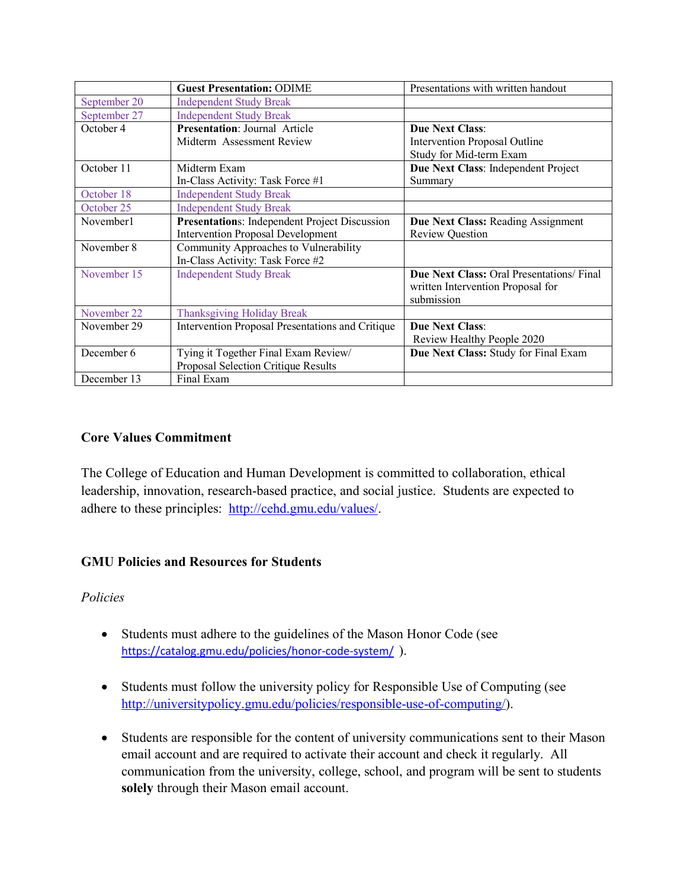|              | <b>Guest Presentation: ODIME</b>                 | Presentations with written handout                                                                 |
|--------------|--------------------------------------------------|----------------------------------------------------------------------------------------------------|
| September 20 | <b>Independent Study Break</b>                   |                                                                                                    |
| September 27 | <b>Independent Study Break</b>                   |                                                                                                    |
| October 4    | <b>Presentation: Journal Article</b>             | <b>Due Next Class:</b>                                                                             |
|              | Midterm Assessment Review                        | Intervention Proposal Outline                                                                      |
|              |                                                  | Study for Mid-term Exam                                                                            |
| October 11   | Midterm Exam                                     | Due Next Class: Independent Project                                                                |
|              | In-Class Activity: Task Force #1                 | Summary                                                                                            |
| October 18   | <b>Independent Study Break</b>                   |                                                                                                    |
| October 25   | <b>Independent Study Break</b>                   |                                                                                                    |
| November1    | Presentations: Independent Project Discussion    | Due Next Class: Reading Assignment                                                                 |
|              | <b>Intervention Proposal Development</b>         | <b>Review Question</b>                                                                             |
| November 8   | Community Approaches to Vulnerability            |                                                                                                    |
|              | In-Class Activity: Task Force #2                 |                                                                                                    |
| November 15  | <b>Independent Study Break</b>                   | <b>Due Next Class: Oral Presentations/Final</b><br>written Intervention Proposal for<br>submission |
| November 22  | <b>Thanksgiving Holiday Break</b>                |                                                                                                    |
| November 29  | Intervention Proposal Presentations and Critique | <b>Due Next Class:</b>                                                                             |
|              |                                                  | Review Healthy People 2020                                                                         |
| December 6   | Tying it Together Final Exam Review/             | Due Next Class: Study for Final Exam                                                               |
|              | Proposal Selection Critique Results              |                                                                                                    |
| December 13  | Final Exam                                       |                                                                                                    |

# **Core Values Commitment**

The College of Education and Human Development is committed to collaboration, ethical leadership, innovation, research-based practice, and social justice. Students are expected to adhere to these principles: http://cehd.gmu.edu/values/.

## **GMU Policies and Resources for Students**

## *Policies*

- Students must adhere to the guidelines of the Mason Honor Code (see https://catalog.gmu.edu/policies/honor-code-system/ ).
- Students must follow the university policy for Responsible Use of Computing (see http://universitypolicy.gmu.edu/policies/responsible-use-of-computing/).
- Students are responsible for the content of university communications sent to their Mason email account and are required to activate their account and check it regularly. All communication from the university, college, school, and program will be sent to students **solely** through their Mason email account.